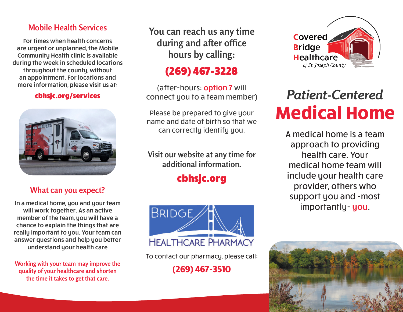## **Mobile Health Services**

For times when health concerns are urgent or unplanned, the Mobile Community Health clinic is available during the week in scheduled locations throughout the county, without an appointment. For locations and more information, please visit us at:

#### cbhsjc.org/services



## **What can you expect?**

In a medical home, you and your team will work together. As an active member of the team, you will have a chance to explain the things that are really important to you. Your team can answer questions and help you better understand your health care

**Working with your team may improve the quality of your healthcare and shorten the time it takes to get that care.**

**You can reach us any time during and after office hours by calling:**

## (269) 467-3228

(after-hours: option 7 will connect you to a team member)

Please be prepared to give your name and date of birth so that we can correctly identify you.

**Visit our website at any time for additional information.**

# cbhsjc.org



To contact our pharmacy, please call:

**(269) 467-3510**



# *Patient-Centered* **Medical Home**

A medical home is a team approach to providing health care. Your medical home team will include your health care provider, others who support you and -most importantly- you.